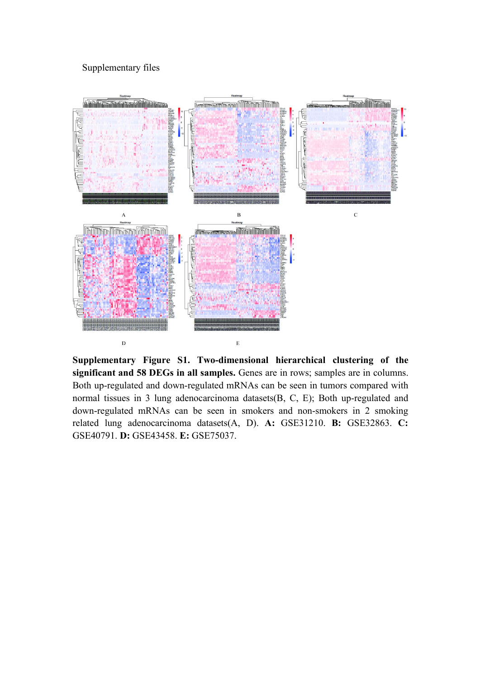## Supplementary files



**Supplementary Figure S1. Two-dimensional hierarchical clustering of the significant and 58 DEGs in all samples.** Genes are in rows; samples are in columns. Both up-regulated and down-regulated mRNAs can be seen in tumors compared with normal tissues in 3 lung adenocarcinoma datasets(B, C, E); Both up-regulated and down-regulated mRNAs can be seen in smokers and non-smokers in 2 smoking related lung adenocarcinoma datasets(A, D). **A:** GSE31210. **B:** GSE32863. **C:** GSE40791. **D:** GSE43458. **E:** GSE75037.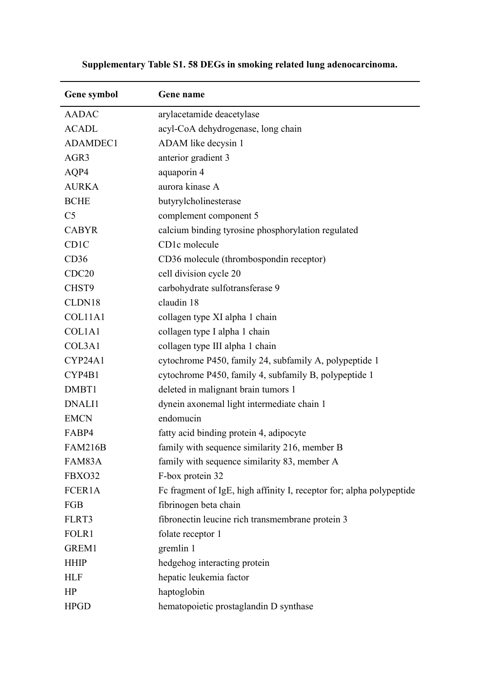| Gene symbol       | Gene name                                                            |  |
|-------------------|----------------------------------------------------------------------|--|
| <b>AADAC</b>      | arylacetamide deacetylase                                            |  |
| <b>ACADL</b>      | acyl-CoA dehydrogenase, long chain                                   |  |
| ADAMDEC1          | ADAM like decysin 1                                                  |  |
| AGR3              | anterior gradient 3                                                  |  |
| AQP4              | aquaporin 4                                                          |  |
| <b>AURKA</b>      | aurora kinase A                                                      |  |
| <b>BCHE</b>       | butyrylcholinesterase                                                |  |
| C <sub>5</sub>    | complement component 5                                               |  |
| <b>CABYR</b>      | calcium binding tyrosine phosphorylation regulated                   |  |
| CD1C              | CD1c molecule                                                        |  |
| CD36              | CD36 molecule (thrombospondin receptor)                              |  |
| CDC <sub>20</sub> | cell division cycle 20                                               |  |
| CHST9             | carbohydrate sulfotransferase 9                                      |  |
| CLDN18            | claudin 18                                                           |  |
| COL11A1           | collagen type XI alpha 1 chain                                       |  |
| COL1A1            | collagen type I alpha 1 chain                                        |  |
| COL3A1            | collagen type III alpha 1 chain                                      |  |
| CYP24A1           | cytochrome P450, family 24, subfamily A, polypeptide 1               |  |
| CYP4B1            | cytochrome P450, family 4, subfamily B, polypeptide 1                |  |
| DMBT1             | deleted in malignant brain tumors 1                                  |  |
| DNALI1            | dynein axonemal light intermediate chain 1                           |  |
| <b>EMCN</b>       | endomucin                                                            |  |
| FABP4             | fatty acid binding protein 4, adipocyte                              |  |
| <b>FAM216B</b>    | family with sequence similarity 216, member B                        |  |
| FAM83A            | family with sequence similarity 83, member A                         |  |
| FBXO32            | F-box protein 32                                                     |  |
| FCER1A            | Fc fragment of IgE, high affinity I, receptor for; alpha polypeptide |  |
| FGB               | fibrinogen beta chain                                                |  |
| FLRT3             | fibronectin leucine rich transmembrane protein 3                     |  |
| FOLR1             | folate receptor 1                                                    |  |
| GREM1             | gremlin 1                                                            |  |
| <b>HHIP</b>       | hedgehog interacting protein                                         |  |
| <b>HLF</b>        | hepatic leukemia factor                                              |  |
| HP                | haptoglobin                                                          |  |
| <b>HPGD</b>       | hematopoietic prostaglandin D synthase                               |  |

## **Supplementary Table S1. 58 DEGs in smoking related lung adenocarcinoma.**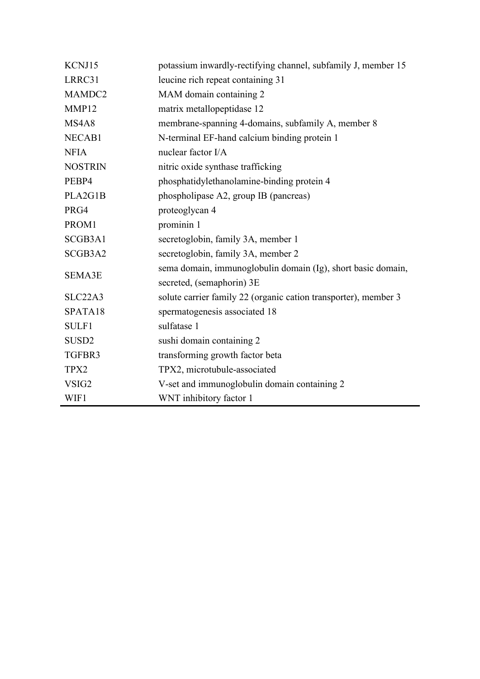| KCNJ15            | potassium inwardly-rectifying channel, subfamily J, member 15                             |  |  |
|-------------------|-------------------------------------------------------------------------------------------|--|--|
| LRRC31            | leucine rich repeat containing 31                                                         |  |  |
| MAMDC2            | MAM domain containing 2                                                                   |  |  |
| MMP12             | matrix metallopeptidase 12                                                                |  |  |
| MS4A8             | membrane-spanning 4-domains, subfamily A, member 8                                        |  |  |
| NECAB1            | N-terminal EF-hand calcium binding protein 1                                              |  |  |
| <b>NFIA</b>       | nuclear factor I/A                                                                        |  |  |
| <b>NOSTRIN</b>    | nitric oxide synthase trafficking                                                         |  |  |
| PEBP4             | phosphatidylethanolamine-binding protein 4                                                |  |  |
| PLA2G1B           | phospholipase A2, group IB (pancreas)                                                     |  |  |
| PRG4              | proteoglycan 4                                                                            |  |  |
| PROM1             | prominin 1                                                                                |  |  |
| SCGB3A1           | secretoglobin, family 3A, member 1                                                        |  |  |
| SCGB3A2           | secretoglobin, family 3A, member 2                                                        |  |  |
| <b>SEMA3E</b>     | sema domain, immunoglobulin domain (Ig), short basic domain,<br>secreted, (semaphorin) 3E |  |  |
| SLC22A3           | solute carrier family 22 (organic cation transporter), member 3                           |  |  |
| SPATA18           | spermatogenesis associated 18                                                             |  |  |
| SULF1             | sulfatase 1                                                                               |  |  |
| SUSD <sub>2</sub> | sushi domain containing 2                                                                 |  |  |
| TGFBR3            | transforming growth factor beta                                                           |  |  |
| TPX2              | TPX2, microtubule-associated                                                              |  |  |
| VSIG2             | V-set and immunoglobulin domain containing 2                                              |  |  |
| WIF1              | WNT inhibitory factor 1                                                                   |  |  |
|                   |                                                                                           |  |  |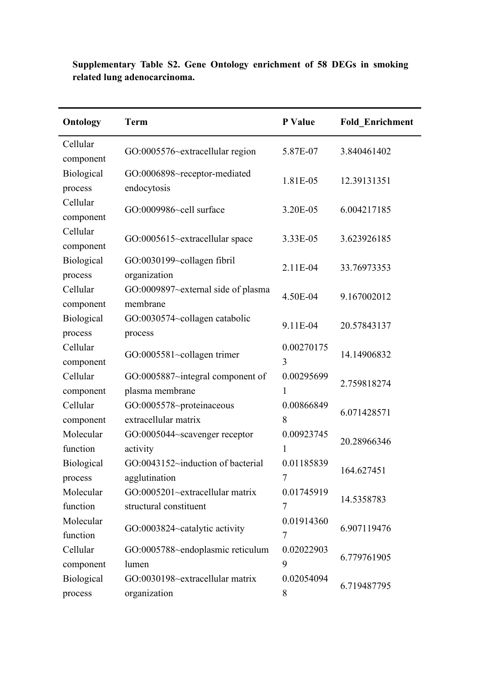| <b>Ontology</b>       | <b>Term</b>                                               | P Value         | <b>Fold Enrichment</b> |
|-----------------------|-----------------------------------------------------------|-----------------|------------------------|
| Cellular<br>component | GO:0005576~extracellular region                           | 5.87E-07        | 3.840461402            |
| Biological<br>process | GO:0006898~receptor-mediated<br>endocytosis               | 1.81E-05        | 12.39131351            |
| Cellular<br>component | GO:0009986~cell surface                                   | 3.20E-05        | 6.004217185            |
| Cellular<br>component | GO:0005615~extracellular space                            | 3.33E-05        | 3.623926185            |
| Biological<br>process | GO:0030199~collagen fibril<br>organization                | 2.11E-04        | 33.76973353            |
| Cellular<br>component | GO:0009897~external side of plasma<br>membrane            | 4.50E-04        | 9.167002012            |
| Biological<br>process | GO:0030574~collagen catabolic<br>process                  | 9.11E-04        | 20.57843137            |
| Cellular<br>component | GO:0005581~collagen trimer                                | 0.00270175<br>3 | 14.14906832            |
| Cellular<br>component | GO:0005887~integral component of<br>plasma membrane       | 0.00295699<br>1 | 2.759818274            |
| Cellular<br>component | GO:0005578~proteinaceous<br>extracellular matrix          | 0.00866849<br>8 | 6.071428571            |
| Molecular<br>function | GO:0005044~scavenger receptor<br>activity                 | 0.00923745<br>1 | 20.28966346            |
| Biological<br>process | GO:0043152~induction of bacterial<br>agglutination        | 0.01185839<br>7 | 164.627451             |
| Molecular<br>function | GO:0005201~extracellular matrix<br>structural constituent | 0.01745919<br>7 | 14.5358783             |
| Molecular<br>function | GO:0003824~catalytic activity                             | 0.01914360<br>7 | 6.907119476            |
| Cellular<br>component | GO:0005788~endoplasmic reticulum<br>lumen                 | 0.02022903<br>9 | 6.779761905            |
| Biological<br>process | GO:0030198~extracellular matrix<br>organization           | 0.02054094<br>8 | 6.719487795            |

**Supplementary Table S2. Gene Ontology enrichment of 58 DEGs in smoking related lung adenocarcinoma.**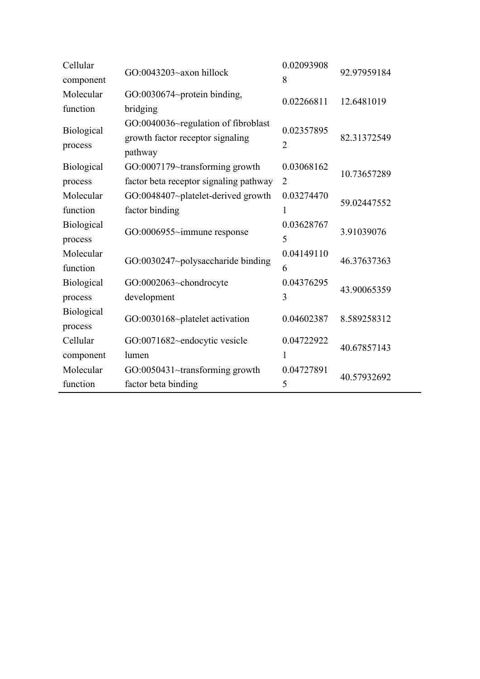| Cellular          | $GO:0043203 \sim ax$ hillock           | 0.02093908     | 92.97959184 |  |
|-------------------|----------------------------------------|----------------|-------------|--|
| component         |                                        | 8              |             |  |
| Molecular         | GO:0030674~protein binding,            | 0.02266811     | 12.6481019  |  |
| function          | bridging                               |                |             |  |
|                   | GO:0040036~regulation of fibroblast    |                |             |  |
| Biological        | growth factor receptor signaling       | 0.02357895     | 82.31372549 |  |
| process           | pathway                                | 2              |             |  |
| Biological        | GO:0007179~transforming growth         | 0.03068162     | 10.73657289 |  |
| process           | factor beta receptor signaling pathway | $\overline{2}$ |             |  |
| Molecular         | GO:0048407~platelet-derived growth     | 0.03274470     | 59.02447552 |  |
| function          | factor binding                         | 1              |             |  |
| Biological        |                                        | 0.03628767     | 3.91039076  |  |
| process           | $GO:0006955$ ~immune response          | 5              |             |  |
| Molecular         | GO:0030247~polysaccharide binding      | 0.04149110     |             |  |
| function          |                                        | 6              | 46.37637363 |  |
| Biological        | GO:0002063~chondrocyte                 | 0.04376295     | 43.90065359 |  |
| process           | development                            | 3              |             |  |
| <b>Biological</b> |                                        | 0.04602387     | 8.589258312 |  |
| process           | GO:0030168~platelet activation         |                |             |  |
| Cellular          | GO:0071682~endocytic vesicle           | 0.04722922     | 40.67857143 |  |
| component         | lumen                                  | 1              |             |  |
| Molecular         | GO:0050431~transforming growth         | 0.04727891     | 40.57932692 |  |
| function          | factor beta binding                    | 5              |             |  |